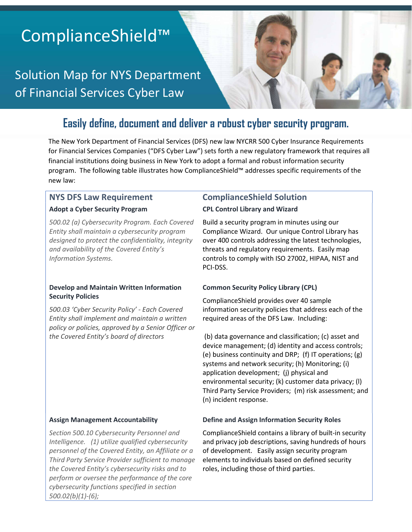# ComplianceShield™

Solution Map for NYS Department of Financial Services Cyber Law

## **Easily define, document and deliver a robust cyber security program.**

The New York Department of Financial Services (DFS) new law NYCRR 500 Cyber Insurance Requirements for Financial Services Companies ("DFS Cyber Law") sets forth a new regulatory framework that requires all financial institutions doing business in New York to adopt a formal and robust information security program. The following table illustrates how ComplianceShield™ addresses specific requirements of the new law:

#### **Adopt a Cyber Security Program**

*500.02 (a) Cybersecurity Program. Each Covered Entity shall maintain a cybersecurity program designed to protect the confidentiality, integrity and availability of the Covered Entity's Information Systems.* 

#### **Develop and Maintain Written Information Security Policies**

*500.03 'Cyber Security Policy' - Each Covered Entity shall implement and maintain a written policy or policies, approved by a Senior Officer or the Covered Entity's board of directors*

#### **Assign Management Accountability**

*Section 500.10 Cybersecurity Personnel and Intelligence. (1) utilize qualified cybersecurity personnel of the Covered Entity, an Affiliate or a Third Party Service Provider sufficient to manage the Covered Entity's cybersecurity risks and to perform or oversee the performance of the core cybersecurity functions specified in section 500.02(b)(1)-(6);* 

### **NYS DFS Law Requirement ComplianceShield Solution**

#### **CPL Control Library and Wizard**

Build a security program in minutes using our Compliance Wizard. Our unique Control Library has over 400 controls addressing the latest technologies, threats and regulatory requirements. Easily map controls to comply with ISO 27002, HIPAA, NIST and PCI-DSS.

#### **Common Security Policy Library (CPL)**

ComplianceShield provides over 40 sample information security policies that address each of the required areas of the DFS Law. Including:

 (b) data governance and classification; (c) asset and device management; (d) identity and access controls; (e) business continuity and DRP; (f) IT operations; (g) systems and network security; (h) Monitoring; (i) application development; (j) physical and environmental security; (k) customer data privacy; (l) Third Party Service Providers; (m) risk assessment; and (n) incident response.

#### **Define and Assign Information Security Roles**

ComplianceShield contains a library of built-in security and privacy job descriptions, saving hundreds of hours of development. Easily assign security program elements to individuals based on defined security roles, including those of third parties.